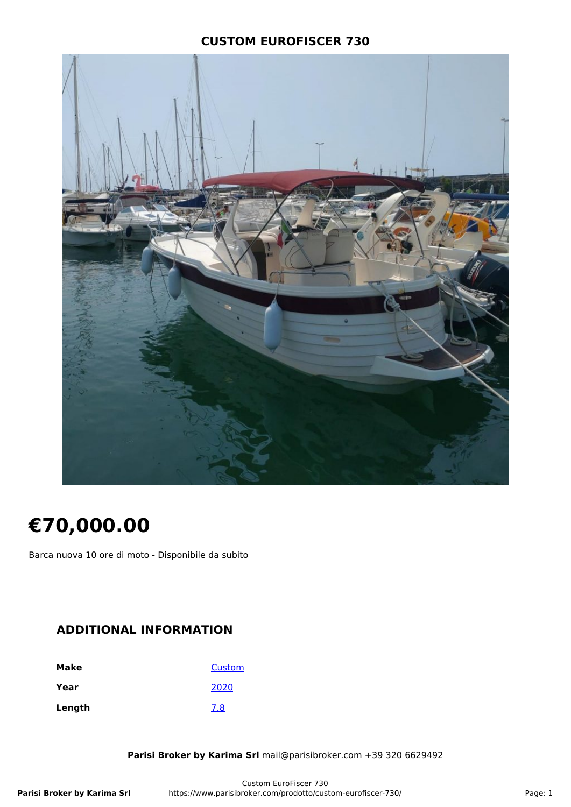### **CUSTOM EUROFISCER 730**



# **€70,000.00**

Barca nuova 10 ore di moto - Disponibile da subito

### **ADDITIONAL INFORMATION**

| Make   | Custom |
|--------|--------|
| Year   | 2020   |
| Length | 7.8    |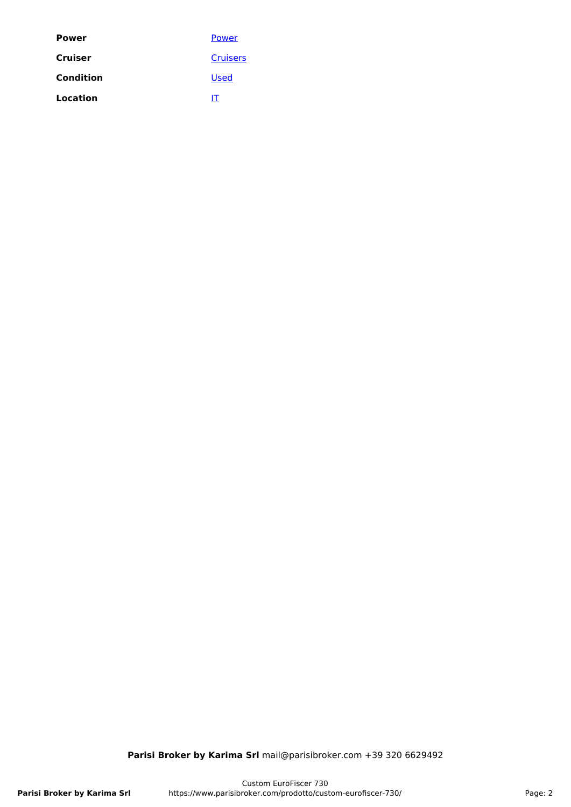| Power     | Power           |
|-----------|-----------------|
| Cruiser   | <b>Cruisers</b> |
| Condition | <b>Used</b>     |
| Location  | IT              |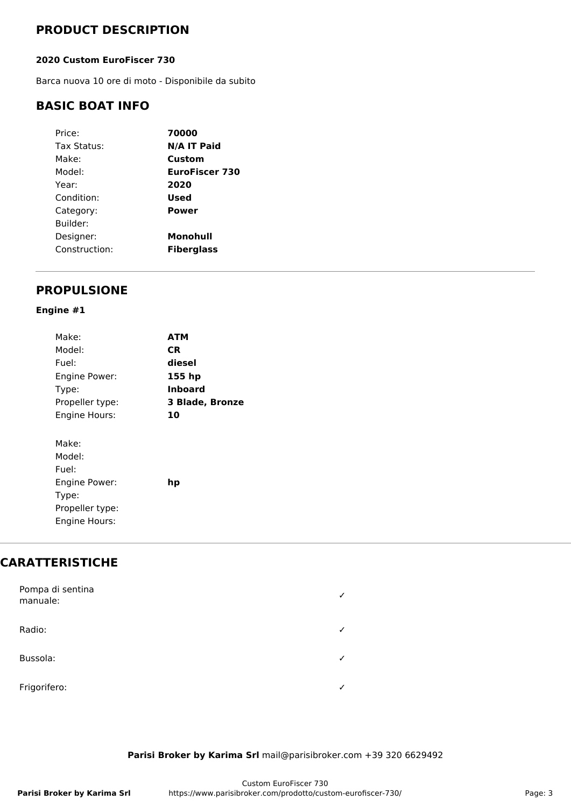### **PRODUCT DESCRIPTION**

#### **2020 Custom EuroFiscer 730**

Barca nuova 10 ore di moto - Disponibile da subito

### **BASIC BOAT INFO**

| Price:        | 70000             |
|---------------|-------------------|
| Tax Status:   | N/A IT Paid       |
| Make:         | Custom            |
| Model:        | EuroFiscer 730    |
| Year:         | 2020              |
| Condition:    | Used              |
| Category:     | Power             |
| Builder:      |                   |
| Designer:     | Monohull          |
| Construction: | <b>Fiberglass</b> |
|               |                   |

### **PROPULSIONE**

#### **Engine #1**

| Make:                                                                                  | <b>ATM</b>      |
|----------------------------------------------------------------------------------------|-----------------|
| Model:                                                                                 | CR.             |
| Fuel:                                                                                  | diesel          |
| Engine Power:                                                                          | 155 hp          |
| Type:                                                                                  | Inboard         |
| Propeller type:                                                                        | 3 Blade, Bronze |
| Engine Hours:                                                                          | 10              |
| Make:<br>Model:<br>Fuel:<br>Engine Power:<br>Type:<br>Propeller type:<br>Engine Hours: | hp              |

# **CARATTERISTICHE**

| Pompa di sentina<br>manuale: | ✓            |
|------------------------------|--------------|
| Radio:                       | $\checkmark$ |
| Bussola:                     | $\checkmark$ |
| Frigorifero:                 | $\checkmark$ |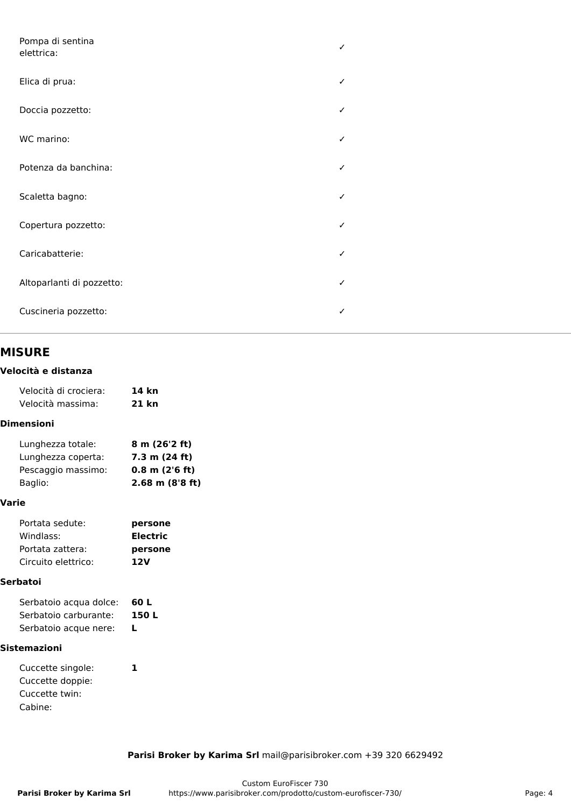| Pompa di sentina<br>elettrica: | $\checkmark$ |
|--------------------------------|--------------|
| Elica di prua:                 | $\checkmark$ |
| Doccia pozzetto:               | $\checkmark$ |
| WC marino:                     | $\checkmark$ |
| Potenza da banchina:           | ✓            |
| Scaletta bagno:                | $\checkmark$ |
| Copertura pozzetto:            | ✓            |
| Caricabatterie:                | $\checkmark$ |
| Altoparlanti di pozzetto:      | $\checkmark$ |
| Cuscineria pozzetto:           | ✓            |

### **MISURE**

#### **Velocità e distanza**

| Velocità di crociera: | 14 kn |
|-----------------------|-------|
| Velocità massima:     | 21 kn |

#### **Dimensioni**

| Lunghezza totale:  | 8 m (26'2 ft)      |
|--------------------|--------------------|
| Lunghezza coperta: | 7.3 m (24 ft)      |
| Pescaggio massimo: | $0.8$ m $(2'6$ ft) |
| Baglio:            | $2.68$ m (8'8 ft)  |

#### **Varie**

| Portata sedute:     | persone         |
|---------------------|-----------------|
| Windlass:           | <b>Electric</b> |
| Portata zattera:    | persone         |
| Circuito elettrico: | 12V             |

#### **Serbatoi**

| Serbatoio acqua dolce: | 60 L  |
|------------------------|-------|
| Serbatoio carburante:  | 150 L |
| Serbatoio acque nere:  |       |

#### **Sistemazioni**

| Cuccette singole: |  |
|-------------------|--|
| Cuccette doppie:  |  |
| Cuccette twin:    |  |
| Cabine:           |  |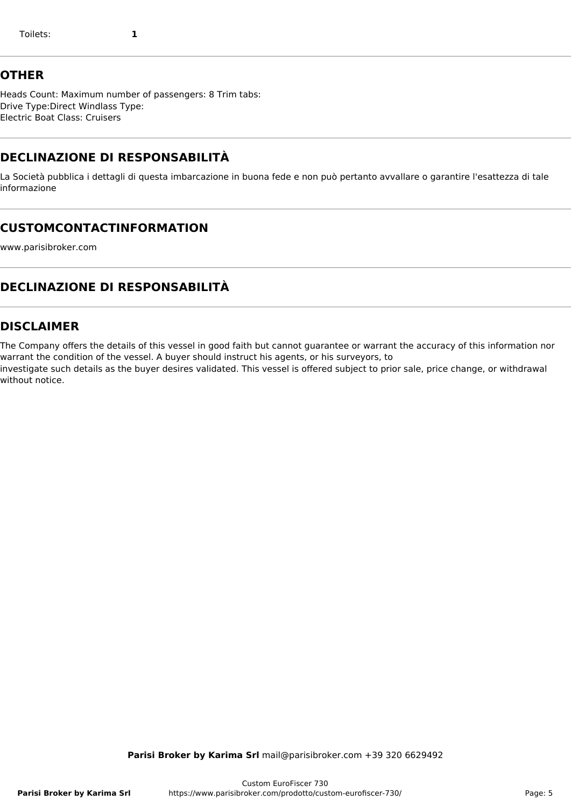### **OTHER**

Heads Count: Maximum number of passengers: 8 Trim tabs: Drive Type:Direct Windlass Type: Electric Boat Class: Cruisers

# **DECLINAZIONE DI RESPONSABILITÀ**

La Società pubblica i dettagli di questa imbarcazione in buona fede e non può pertanto avvallare o garantire l'esattezza di tale informazione

# **CUSTOMCONTACTINFORMATION**

www.parisibroker.com

# **DECLINAZIONE DI RESPONSABILITÀ**

### **DISCLAIMER**

The Company offers the details of this vessel in good faith but cannot guarantee or warrant the accuracy of this information nor warrant the condition of the vessel. A buyer should instruct his agents, or his surveyors, to

investigate such details as the buyer desires validated. This vessel is offered subject to prior sale, price change, or withdrawal without notice.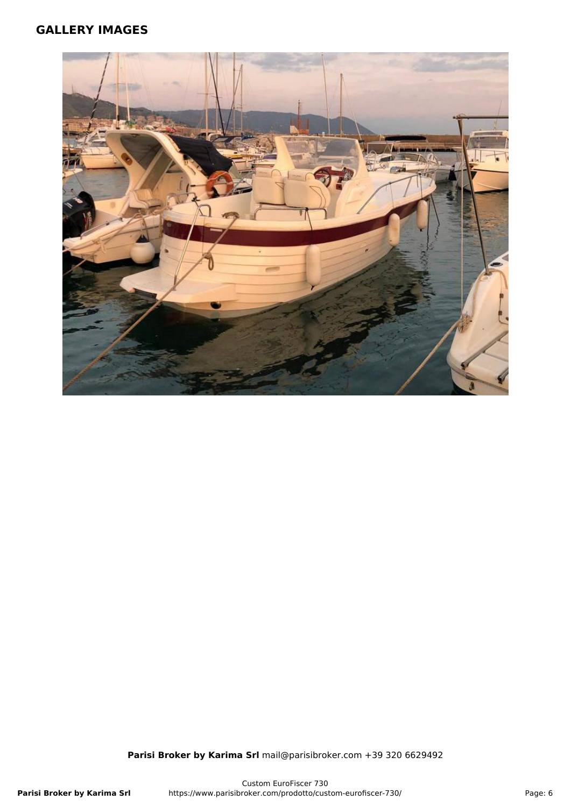### **GALLERY IMAGES**

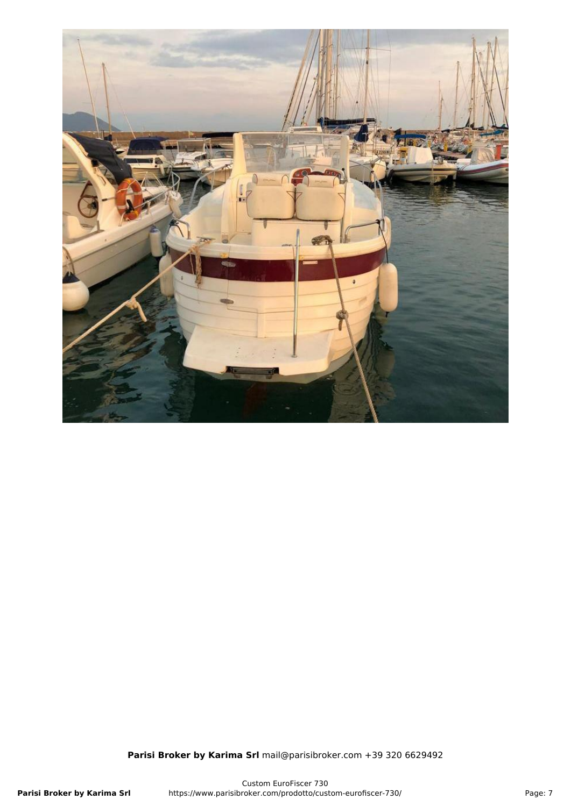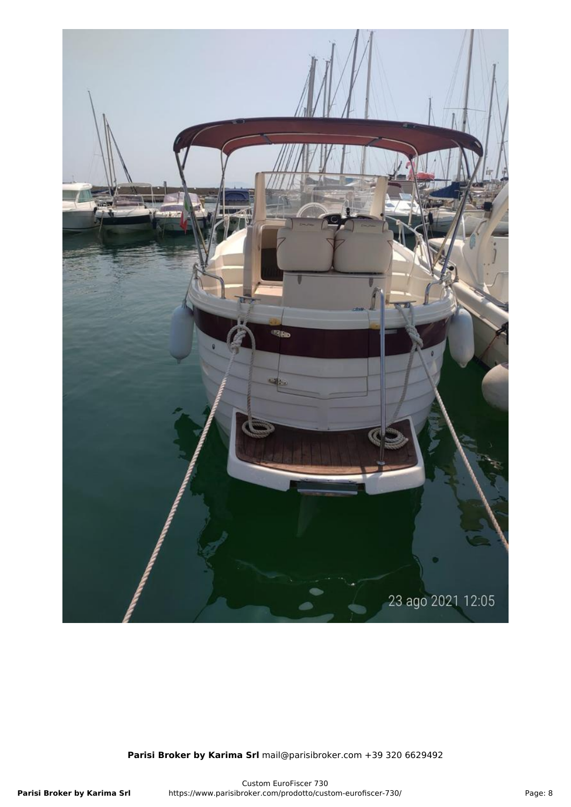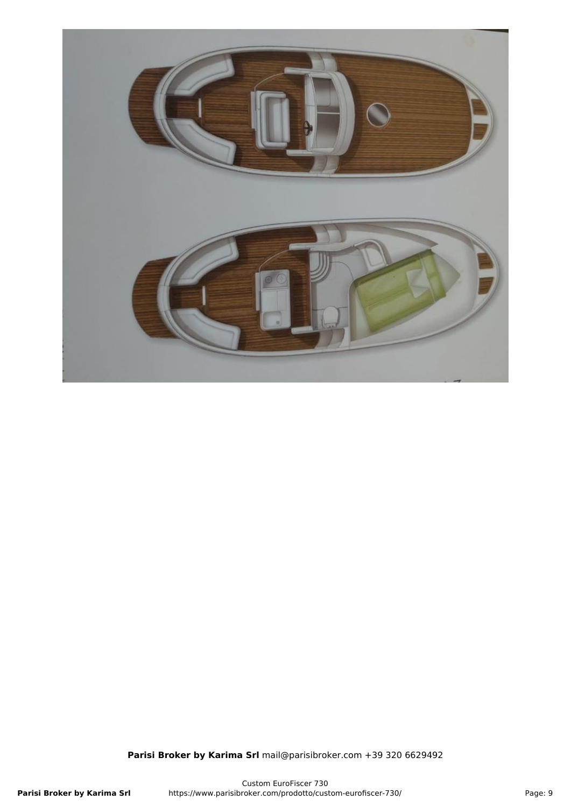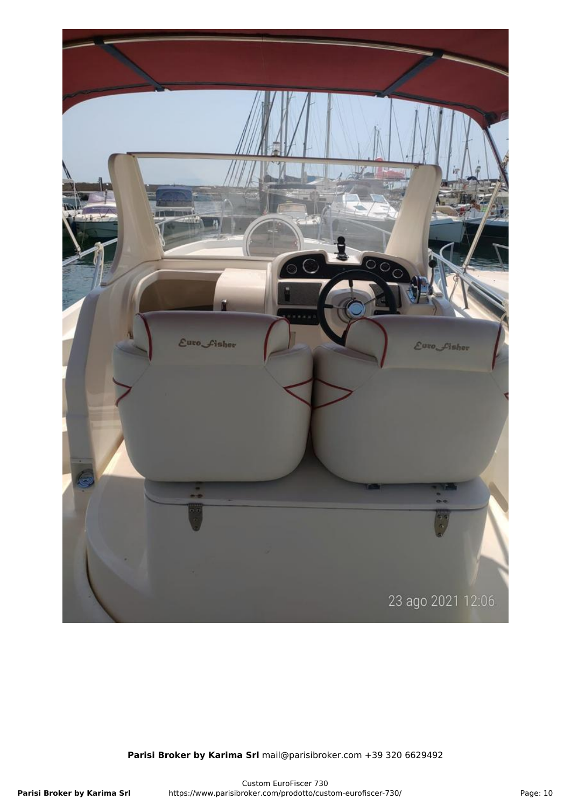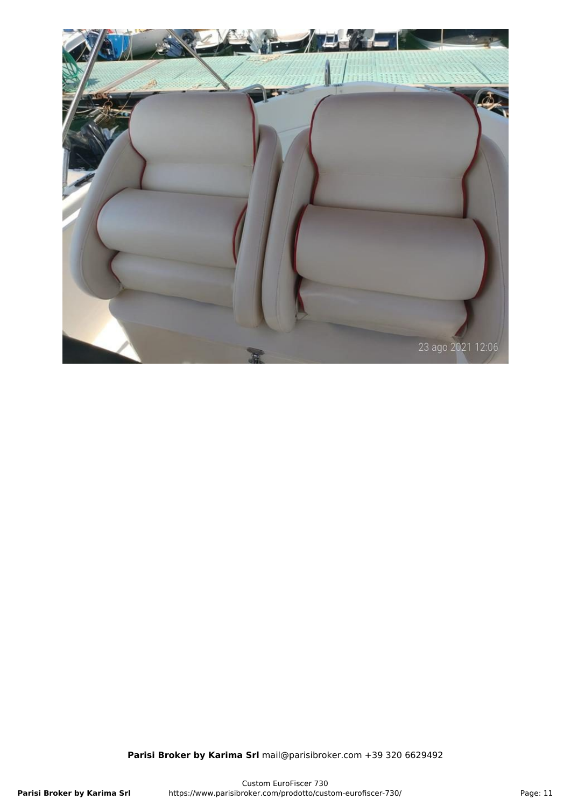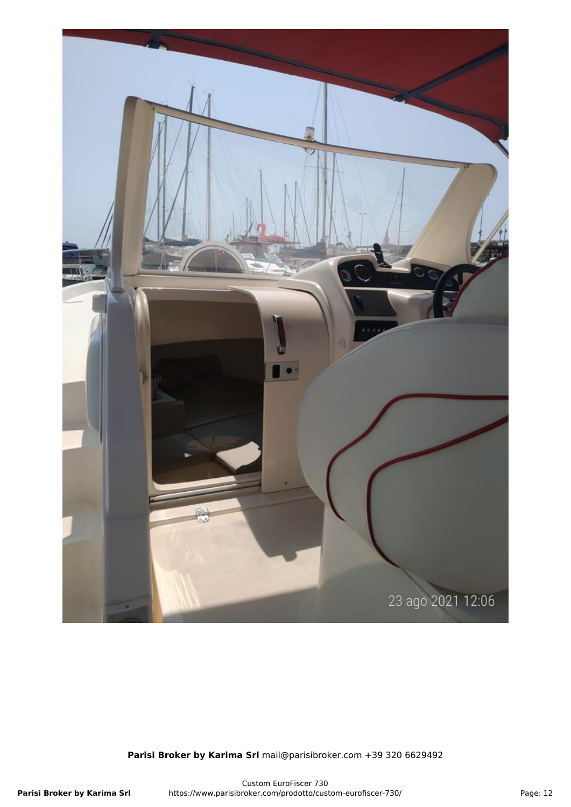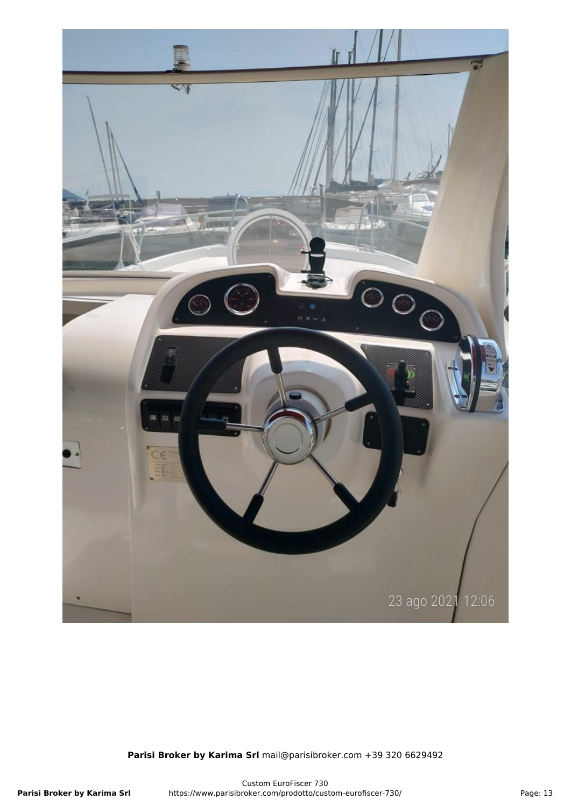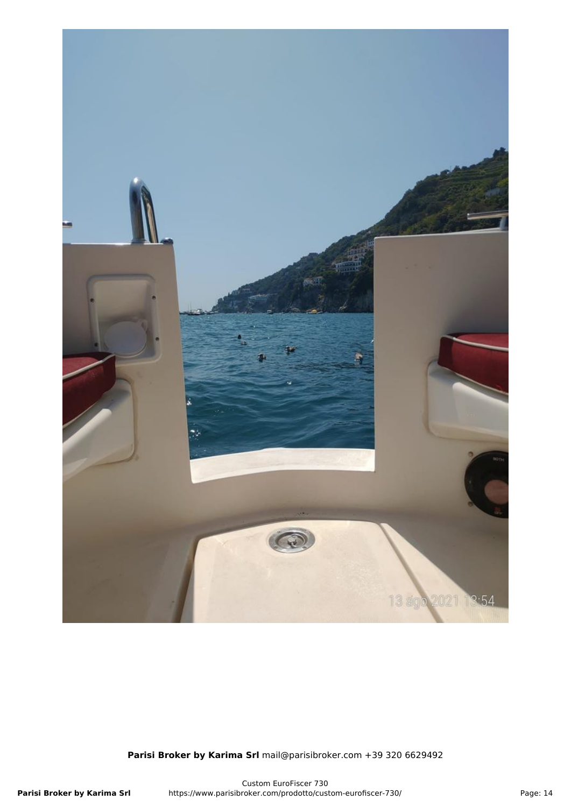